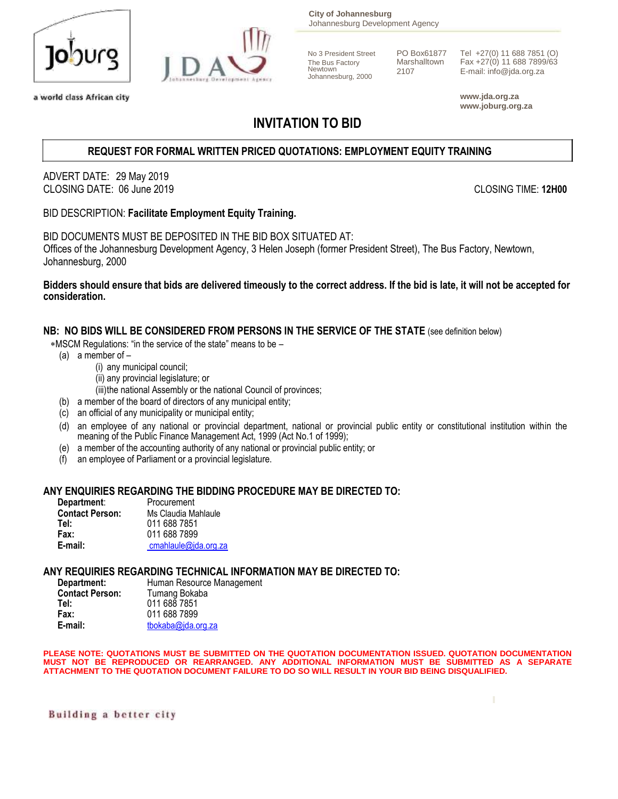



a world class African city

**City of Johannesburg** Johannesburg Development Agency

Newtown <sup>2107</sup> E-mail: info@jda.org.za Johannesburg, 2000

No 3 President Street PO Box61877 Tel +27(0) 11 688 7851 (O)<br>The Bus Factory Marshalltown Fax +27(0) 11 688 7899/63 The Bus Factory Marshalltown Fax +27(0) 11 688 7899/63<br>Newtown 2107 E mail: info@ide.org.zo

> **www.jda.org.za www.joburg.org.za**

# **INVITATION TO BID**

# **REQUEST FOR FORMAL WRITTEN PRICED QUOTATIONS: EMPLOYMENT EQUITY TRAINING**

ADVERT DATE: 29 May 2019 CLOSING DATE: 06 June 2019 CLOSING TIME: **12H00**

BID DESCRIPTION: **Facilitate Employment Equity Training.**

BID DOCUMENTS MUST BE DEPOSITED IN THE BID BOX SITUATED AT: Offices of the Johannesburg Development Agency, 3 Helen Joseph (former President Street), The Bus Factory, Newtown, Johannesburg, 2000

### **Bidders should ensure that bids are delivered timeously to the correct address. If the bid is late, it will not be accepted for consideration.**

## **NB: NO BIDS WILL BE CONSIDERED FROM PERSONS IN THE SERVICE OF THE STATE** (see definition below)

MSCM Regulations: "in the service of the state" means to be –

- (a) a member of
	- (i) any municipal council;
	- (ii) any provincial legislature; or
	- (iii)the national Assembly or the national Council of provinces;
- (b) a member of the board of directors of any municipal entity;
- (c) an official of any municipality or municipal entity;
- (d) an employee of any national or provincial department, national or provincial public entity or constitutional institution within the meaning of the Public Finance Management Act, 1999 (Act No.1 of 1999);
- (e) a member of the accounting authority of any national or provincial public entity; or
- (f) an employee of Parliament or a provincial legislature.

## **ANY ENQUIRIES REGARDING THE BIDDING PROCEDURE MAY BE DIRECTED TO:**

| Department:            | Procurement          |
|------------------------|----------------------|
| <b>Contact Person:</b> | Ms Claudia Mahlaule  |
| Tel:                   | 011 688 7851         |
| Fax:                   | 011 688 7899         |
| E-mail:                | cmahlaule@jda.org.za |

## **ANY REQUIRIES REGARDING TECHNICAL INFORMATION MAY BE DIRECTED TO:**

| Department:            | Human Resource Management |
|------------------------|---------------------------|
| <b>Contact Person:</b> | Tumang Bokaba             |
| Tel:                   | 011 688 7851              |
| Fax:                   | 011 688 7899              |
| E-mail:                | tbokaba@ida.org.za        |

**PLEASE NOTE: QUOTATIONS MUST BE SUBMITTED ON THE QUOTATION DOCUMENTATION ISSUED. QUOTATION DOCUMENTATION MUST NOT BE REPRODUCED OR REARRANGED. ANY ADDITIONAL INFORMATION MUST BE SUBMITTED AS A SEPARATE ATTACHMENT TO THE QUOTATION DOCUMENT FAILURE TO DO SO WILL RESULT IN YOUR BID BEING DISQUALIFIED.**

Building a better city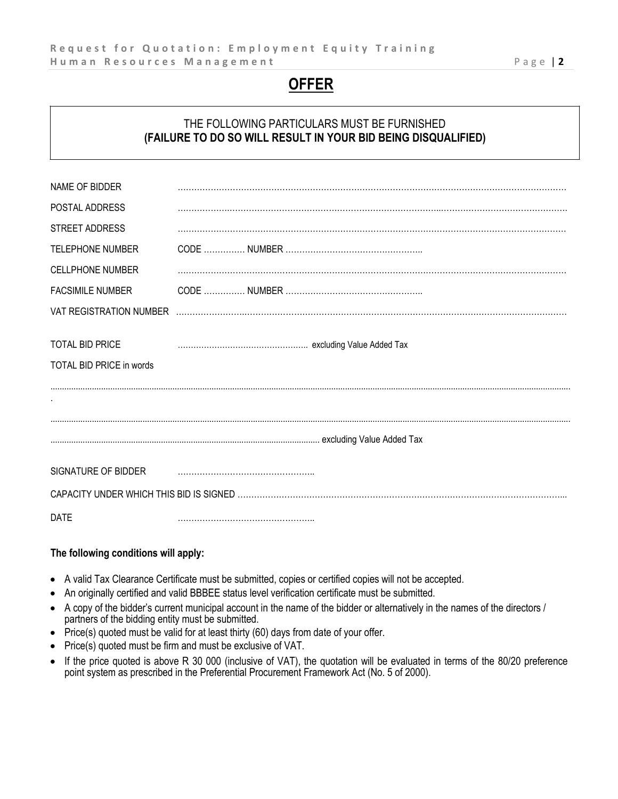# **OFFER**

# THE FOLLOWING PARTICULARS MUST BE FURNISHED **(FAILURE TO DO SO WILL RESULT IN YOUR BID BEING DISQUALIFIED)**

| NAME OF BIDDER           |  |
|--------------------------|--|
| POSTAL ADDRESS           |  |
| <b>STREET ADDRESS</b>    |  |
| <b>TELEPHONE NUMBER</b>  |  |
| <b>CELLPHONE NUMBER</b>  |  |
| <b>FACSIMILE NUMBER</b>  |  |
|                          |  |
| <b>TOTAL BID PRICE</b>   |  |
| TOTAL BID PRICE in words |  |
|                          |  |
|                          |  |
|                          |  |
| SIGNATURE OF BIDDER      |  |
|                          |  |
| <b>DATE</b>              |  |

# **The following conditions will apply:**

- A valid Tax Clearance Certificate must be submitted, copies or certified copies will not be accepted.
- An originally certified and valid BBBEE status level verification certificate must be submitted.
- A copy of the bidder's current municipal account in the name of the bidder or alternatively in the names of the directors / partners of the bidding entity must be submitted.
- Price(s) quoted must be valid for at least thirty (60) days from date of your offer.
- Price(s) quoted must be firm and must be exclusive of VAT.
- If the price quoted is above R 30 000 (inclusive of VAT), the quotation will be evaluated in terms of the 80/20 preference point system as prescribed in the Preferential Procurement Framework Act (No. 5 of 2000).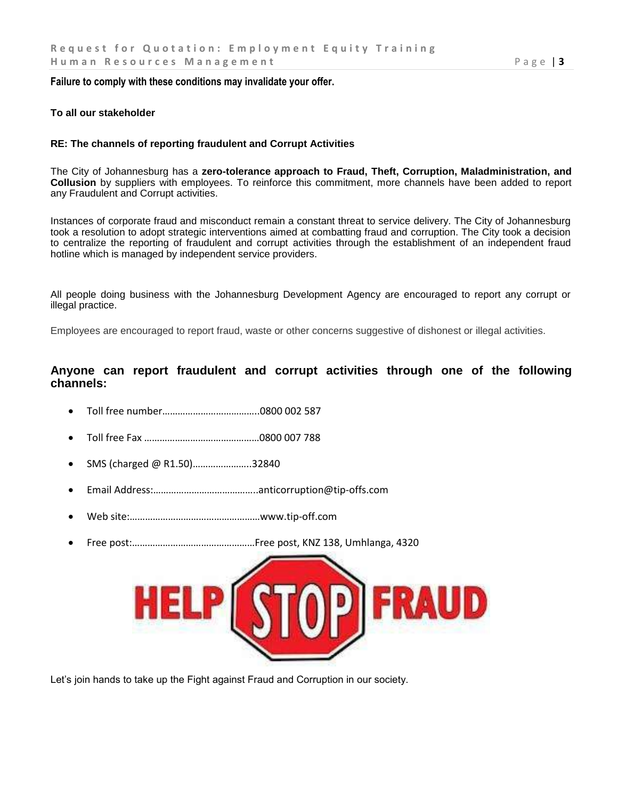**Failure to comply with these conditions may invalidate your offer.**

#### **To all our stakeholder**

#### **RE: The channels of reporting fraudulent and Corrupt Activities**

The City of Johannesburg has a **zero-tolerance approach to Fraud, Theft, Corruption, Maladministration, and Collusion** by suppliers with employees. To reinforce this commitment, more channels have been added to report any Fraudulent and Corrupt activities.

Instances of corporate fraud and misconduct remain a constant threat to service delivery. The City of Johannesburg took a resolution to adopt strategic interventions aimed at combatting fraud and corruption. The City took a decision to centralize the reporting of fraudulent and corrupt activities through the establishment of an independent fraud hotline which is managed by independent service providers.

All people doing business with the Johannesburg Development Agency are encouraged to report any corrupt or illegal practice.

Employees are encouraged to report fraud, waste or other concerns suggestive of dishonest or illegal activities.

## **Anyone can report fraudulent and corrupt activities through one of the following channels:**

- Toll free number………………………………..0800 002 587
- Toll free Fax ………………………………………0800 007 788
- SMS (charged @ R1.50)…………………..32840
- Email Address:…………………………………..anticorruption@tip-offs.com
- Web site:……………………………………………www.tip-off.com
- Free post:…………………………………………Free post, KNZ 138, Umhlanga, 4320



Let's join hands to take up the Fight against Fraud and Corruption in our society.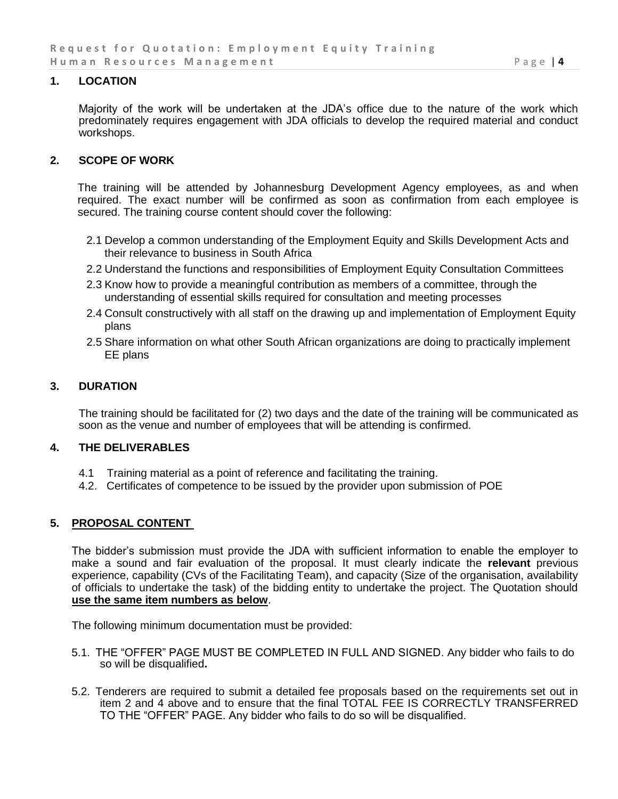### **1. LOCATION**

Majority of the work will be undertaken at the JDA's office due to the nature of the work which predominately requires engagement with JDA officials to develop the required material and conduct workshops.

### **2. SCOPE OF WORK**

The training will be attended by Johannesburg Development Agency employees, as and when required. The exact number will be confirmed as soon as confirmation from each employee is secured. The training course content should cover the following:

- 2.1 Develop a common understanding of the Employment Equity and Skills Development Acts and their relevance to business in South Africa
- 2.2 Understand the functions and responsibilities of Employment Equity Consultation Committees
- 2.3 Know how to provide a meaningful contribution as members of a committee, through the understanding of essential skills required for consultation and meeting processes
- 2.4 Consult constructively with all staff on the drawing up and implementation of Employment Equity plans
- 2.5 Share information on what other South African organizations are doing to practically implement EE plans

### **3. DURATION**

The training should be facilitated for (2) two days and the date of the training will be communicated as soon as the venue and number of employees that will be attending is confirmed.

### **4. THE DELIVERABLES**

- 4.1 Training material as a point of reference and facilitating the training.
- 4.2. Certificates of competence to be issued by the provider upon submission of POE

## **5. PROPOSAL CONTENT**

The bidder's submission must provide the JDA with sufficient information to enable the employer to make a sound and fair evaluation of the proposal. It must clearly indicate the **relevant** previous experience, capability (CVs of the Facilitating Team), and capacity (Size of the organisation, availability of officials to undertake the task) of the bidding entity to undertake the project. The Quotation should **use the same item numbers as below**.

The following minimum documentation must be provided:

- 5.1. THE "OFFER" PAGE MUST BE COMPLETED IN FULL AND SIGNED. Any bidder who fails to do so will be disqualified**.**
- 5.2. Tenderers are required to submit a detailed fee proposals based on the requirements set out in item 2 and 4 above and to ensure that the final TOTAL FEE IS CORRECTLY TRANSFERRED TO THE "OFFER" PAGE. Any bidder who fails to do so will be disqualified.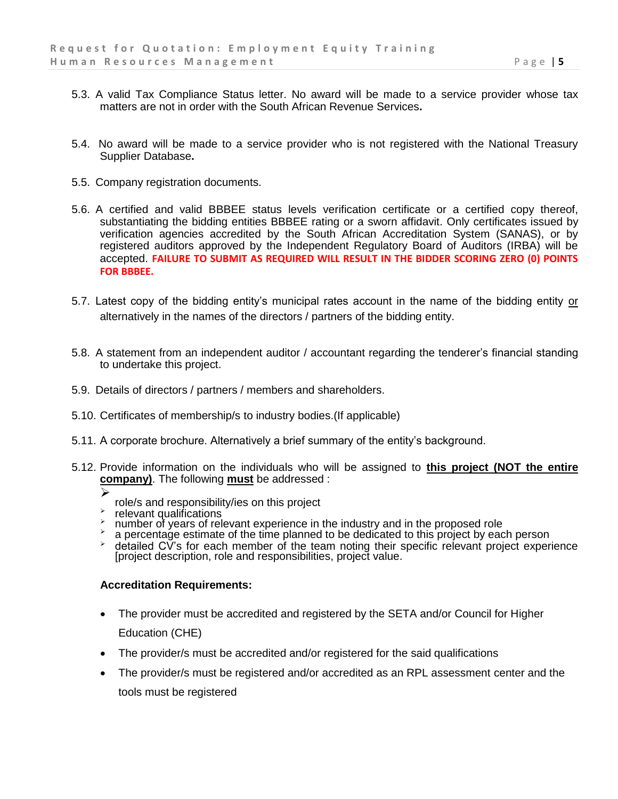- 5.3. A valid Tax Compliance Status letter. No award will be made to a service provider whose tax matters are not in order with the South African Revenue Services**.**
- 5.4. No award will be made to a service provider who is not registered with the National Treasury Supplier Database**.**
- 5.5. Company registration documents.
- 5.6. A certified and valid BBBEE status levels verification certificate or a certified copy thereof, substantiating the bidding entities BBBEE rating or a sworn affidavit. Only certificates issued by verification agencies accredited by the South African Accreditation System (SANAS), or by registered auditors approved by the Independent Regulatory Board of Auditors (IRBA) will be accepted. **FAILURE TO SUBMIT AS REQUIRED WILL RESULT IN THE BIDDER SCORING ZERO (0) POINTS FOR BBBEE.**
- 5.7. Latest copy of the bidding entity's municipal rates account in the name of the bidding entity or alternatively in the names of the directors / partners of the bidding entity.
- 5.8. A statement from an independent auditor / accountant regarding the tenderer's financial standing to undertake this project.
- 5.9. Details of directors / partners / members and shareholders.
- 5.10. Certificates of membership/s to industry bodies.(If applicable)
- 5.11. A corporate brochure. Alternatively a brief summary of the entity's background.
- 5.12. Provide information on the individuals who will be assigned to **this project (NOT the entire company)**. The following **must** be addressed :
	- $\blacktriangleright$
	- role/s and responsibility/ies on this project
	- ⋗ relevant qualifications
	- number of years of relevant experience in the industry and in the proposed role
	- a percentage estimate of the time planned to be dedicated to this project by each person
	- detailed CV's for each member of the team noting their specific relevant project experience [project description, role and responsibilities, project value.

## **Accreditation Requirements:**

- The provider must be accredited and registered by the SETA and/or Council for Higher Education (CHE)
- The provider/s must be accredited and/or registered for the said qualifications
- The provider/s must be registered and/or accredited as an RPL assessment center and the tools must be registered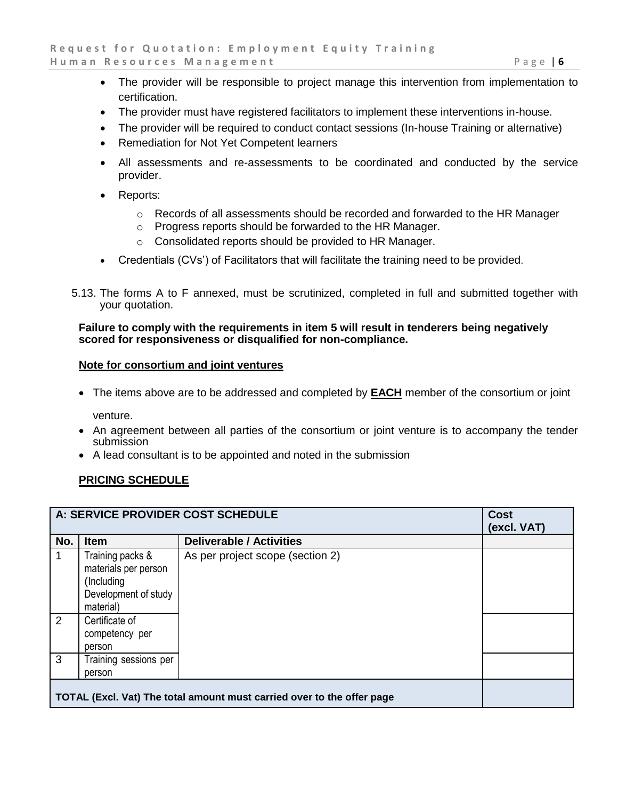- The provider will be responsible to project manage this intervention from implementation to certification.
- The provider must have registered facilitators to implement these interventions in-house.
- The provider will be required to conduct contact sessions (In-house Training or alternative)
- Remediation for Not Yet Competent learners
- All assessments and re-assessments to be coordinated and conducted by the service provider.
- Reports:
	- o Records of all assessments should be recorded and forwarded to the HR Manager
	- o Progress reports should be forwarded to the HR Manager.
	- o Consolidated reports should be provided to HR Manager.
- Credentials (CVs') of Facilitators that will facilitate the training need to be provided.
- 5.13. The forms A to F annexed, must be scrutinized, completed in full and submitted together with your quotation.

### **Failure to comply with the requirements in item 5 will result in tenderers being negatively scored for responsiveness or disqualified for non-compliance.**

### **Note for consortium and joint ventures**

The items above are to be addressed and completed by **EACH** member of the consortium or joint

venture.

- An agreement between all parties of the consortium or joint venture is to accompany the tender submission
- A lead consultant is to be appointed and noted in the submission

## **PRICING SCHEDULE**

|                                                                        | A: SERVICE PROVIDER COST SCHEDULE                                                            |                                  |  |  |  |
|------------------------------------------------------------------------|----------------------------------------------------------------------------------------------|----------------------------------|--|--|--|
| No.                                                                    | <b>Item</b>                                                                                  | <b>Deliverable / Activities</b>  |  |  |  |
| $\overline{1}$                                                         | Training packs &<br>materials per person<br>(Including)<br>Development of study<br>material) | As per project scope (section 2) |  |  |  |
| $\overline{2}$                                                         | Certificate of<br>competency per<br>person                                                   |                                  |  |  |  |
| ن                                                                      | Training sessions per<br>person                                                              |                                  |  |  |  |
| TOTAL (Excl. Vat) The total amount must carried over to the offer page |                                                                                              |                                  |  |  |  |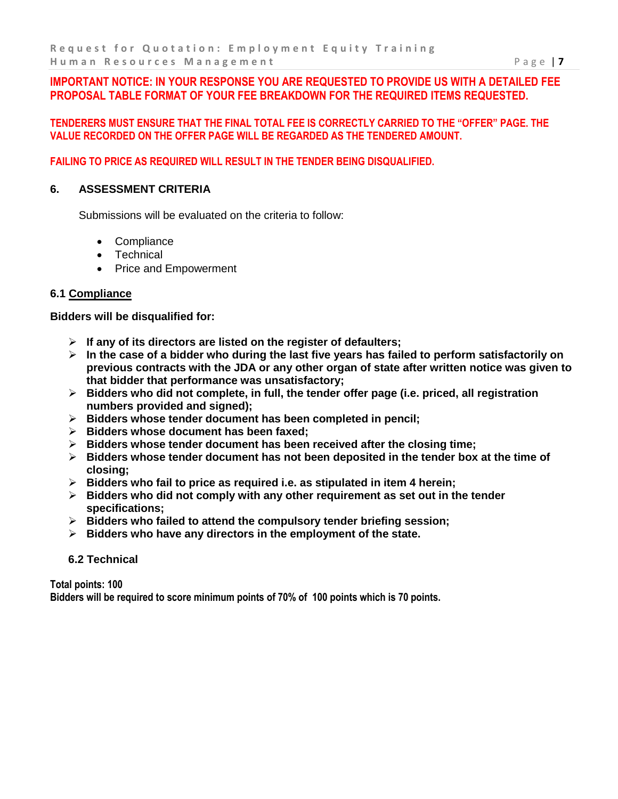# **IMPORTANT NOTICE: IN YOUR RESPONSE YOU ARE REQUESTED TO PROVIDE US WITH A DETAILED FEE PROPOSAL TABLE FORMAT OF YOUR FEE BREAKDOWN FOR THE REQUIRED ITEMS REQUESTED.**

**TENDERERS MUST ENSURE THAT THE FINAL TOTAL FEE IS CORRECTLY CARRIED TO THE "OFFER" PAGE. THE VALUE RECORDED ON THE OFFER PAGE WILL BE REGARDED AS THE TENDERED AMOUNT.** 

# **FAILING TO PRICE AS REQUIRED WILL RESULT IN THE TENDER BEING DISQUALIFIED.**

# **6. ASSESSMENT CRITERIA**

Submissions will be evaluated on the criteria to follow:

- Compliance
- Technical
- Price and Empowerment

## **6.1 Compliance**

**Bidders will be disqualified for:**

- **If any of its directors are listed on the register of defaulters;**
- **In the case of a bidder who during the last five years has failed to perform satisfactorily on previous contracts with the JDA or any other organ of state after written notice was given to that bidder that performance was unsatisfactory;**
- **Bidders who did not complete, in full, the tender offer page (i.e. priced, all registration numbers provided and signed);**
- **Bidders whose tender document has been completed in pencil;**
- **Bidders whose document has been faxed;**
- **Bidders whose tender document has been received after the closing time;**
- **Bidders whose tender document has not been deposited in the tender box at the time of closing;**
- **Bidders who fail to price as required i.e. as stipulated in item 4 herein;**
- **Bidders who did not comply with any other requirement as set out in the tender specifications;**
- **Bidders who failed to attend the compulsory tender briefing session;**
- **Bidders who have any directors in the employment of the state.**

## **6.2 Technical**

**Total points: 100 Bidders will be required to score minimum points of 70% of 100 points which is 70 points.**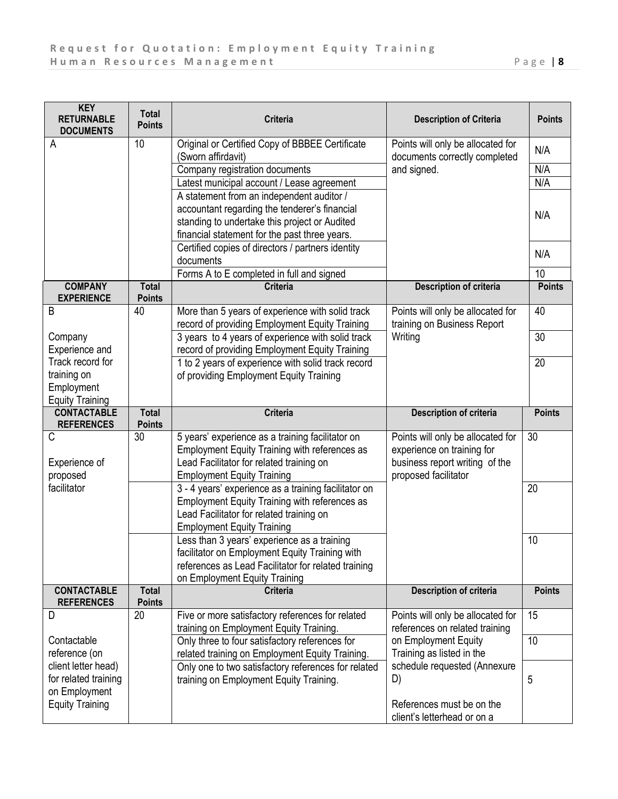| <b>KEY</b><br><b>RETURNABLE</b><br><b>DOCUMENTS</b> | <b>Total</b><br><b>Points</b> | <b>Criteria</b>                                                                           | <b>Description of Criteria</b>                                     | <b>Points</b> |  |  |  |  |  |
|-----------------------------------------------------|-------------------------------|-------------------------------------------------------------------------------------------|--------------------------------------------------------------------|---------------|--|--|--|--|--|
| A                                                   | 10                            | Original or Certified Copy of BBBEE Certificate<br>(Sworn affirdavit)                     | Points will only be allocated for<br>documents correctly completed | N/A           |  |  |  |  |  |
|                                                     |                               | Company registration documents                                                            | and signed.                                                        |               |  |  |  |  |  |
|                                                     |                               | Latest municipal account / Lease agreement                                                |                                                                    | N/A           |  |  |  |  |  |
|                                                     |                               | A statement from an independent auditor /                                                 |                                                                    |               |  |  |  |  |  |
|                                                     |                               | accountant regarding the tenderer's financial                                             |                                                                    | N/A           |  |  |  |  |  |
|                                                     |                               | standing to undertake this project or Audited                                             |                                                                    |               |  |  |  |  |  |
|                                                     |                               | financial statement for the past three years.                                             |                                                                    |               |  |  |  |  |  |
|                                                     |                               | Certified copies of directors / partners identity                                         |                                                                    | N/A           |  |  |  |  |  |
|                                                     |                               | documents                                                                                 |                                                                    |               |  |  |  |  |  |
|                                                     |                               | Forms A to E completed in full and signed                                                 |                                                                    | 10            |  |  |  |  |  |
| <b>COMPANY</b><br><b>EXPERIENCE</b>                 | <b>Total</b><br><b>Points</b> | <b>Criteria</b>                                                                           | Description of criteria                                            | <b>Points</b> |  |  |  |  |  |
| B                                                   | 40                            | More than 5 years of experience with solid track                                          | Points will only be allocated for                                  | 40            |  |  |  |  |  |
|                                                     |                               | record of providing Employment Equity Training                                            | training on Business Report                                        |               |  |  |  |  |  |
| Company                                             |                               | 3 years to 4 years of experience with solid track                                         | Writing                                                            | 30            |  |  |  |  |  |
| Experience and                                      |                               | record of providing Employment Equity Training                                            |                                                                    |               |  |  |  |  |  |
| Track record for                                    |                               | 1 to 2 years of experience with solid track record                                        |                                                                    | 20            |  |  |  |  |  |
| training on                                         |                               | of providing Employment Equity Training                                                   |                                                                    |               |  |  |  |  |  |
| Employment                                          |                               |                                                                                           |                                                                    |               |  |  |  |  |  |
| <b>Equity Training</b>                              |                               |                                                                                           |                                                                    |               |  |  |  |  |  |
| <b>CONTACTABLE</b><br><b>REFERENCES</b>             | <b>Total</b><br><b>Points</b> | <b>Criteria</b>                                                                           | Description of criteria                                            | <b>Points</b> |  |  |  |  |  |
| $\mathcal{C}$                                       | 30                            | 5 years' experience as a training facilitator on                                          | Points will only be allocated for                                  | 30            |  |  |  |  |  |
|                                                     |                               | Employment Equity Training with references as                                             | experience on training for                                         |               |  |  |  |  |  |
| Experience of                                       |                               | Lead Facilitator for related training on                                                  | business report writing of the                                     |               |  |  |  |  |  |
| proposed<br>facilitator                             |                               | <b>Employment Equity Training</b><br>3 - 4 years' experience as a training facilitator on | proposed facilitator                                               | 20            |  |  |  |  |  |
|                                                     |                               | Employment Equity Training with references as                                             |                                                                    |               |  |  |  |  |  |
|                                                     |                               | Lead Facilitator for related training on                                                  |                                                                    |               |  |  |  |  |  |
|                                                     |                               | <b>Employment Equity Training</b>                                                         |                                                                    |               |  |  |  |  |  |
|                                                     |                               | Less than 3 years' experience as a training                                               |                                                                    | 10            |  |  |  |  |  |
|                                                     |                               | facilitator on Employment Equity Training with                                            |                                                                    |               |  |  |  |  |  |
|                                                     |                               | references as Lead Facilitator for related training                                       |                                                                    |               |  |  |  |  |  |
|                                                     |                               | on Employment Equity Training                                                             |                                                                    |               |  |  |  |  |  |
| <b>CONTACTABLE</b><br><b>REFERENCES</b>             | <b>Total</b><br><b>Points</b> | <b>Criteria</b>                                                                           | Description of criteria                                            | <b>Points</b> |  |  |  |  |  |
| D                                                   | 20                            | Five or more satisfactory references for related                                          | Points will only be allocated for                                  | 15            |  |  |  |  |  |
|                                                     |                               | training on Employment Equity Training.                                                   | references on related training                                     |               |  |  |  |  |  |
| Contactable                                         |                               | Only three to four satisfactory references for                                            | on Employment Equity                                               | 10            |  |  |  |  |  |
| reference (on                                       |                               | related training on Employment Equity Training.                                           | Training as listed in the                                          |               |  |  |  |  |  |
| client letter head)                                 |                               | Only one to two satisfactory references for related                                       | schedule requested (Annexure                                       |               |  |  |  |  |  |
| for related training<br>on Employment               |                               | training on Employment Equity Training.                                                   | D)                                                                 | 5             |  |  |  |  |  |
| <b>Equity Training</b>                              |                               |                                                                                           | References must be on the                                          |               |  |  |  |  |  |
|                                                     |                               |                                                                                           | client's letterhead or on a                                        |               |  |  |  |  |  |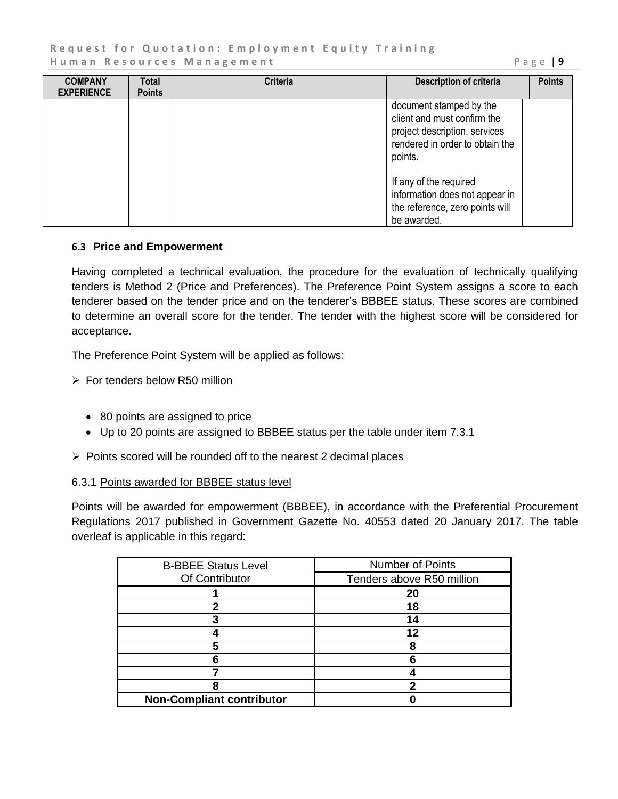| <b>COMPANY</b><br><b>EXPERIENCE</b> | Total<br><b>Points</b> | <b>Criteria</b> | <b>Description of criteria</b>                                                                                                        | <b>Points</b> |
|-------------------------------------|------------------------|-----------------|---------------------------------------------------------------------------------------------------------------------------------------|---------------|
|                                     |                        |                 | document stamped by the<br>client and must confirm the<br>project description, services<br>rendered in order to obtain the<br>points. |               |
|                                     |                        |                 | If any of the required<br>information does not appear in<br>the reference, zero points will<br>be awarded.                            |               |

## **6.3 Price and Empowerment**

Having completed a technical evaluation, the procedure for the evaluation of technically qualifying tenders is Method 2 (Price and Preferences). The Preference Point System assigns a score to each tenderer based on the tender price and on the tenderer's BBBEE status. These scores are combined to determine an overall score for the tender. The tender with the highest score will be considered for acceptance.

The Preference Point System will be applied as follows:

- $\triangleright$  For tenders below R50 million
	- 80 points are assigned to price
	- Up to 20 points are assigned to BBBEE status per the table under item 7.3.1
- $\triangleright$  Points scored will be rounded off to the nearest 2 decimal places

## 6.3.1 Points awarded for BBBEE status level

Points will be awarded for empowerment (BBBEE), in accordance with the Preferential Procurement Regulations 2017 published in Government Gazette No. 40553 dated 20 January 2017. The table overleaf is applicable in this regard:

| <b>B-BBEE Status Level</b>       | <b>Number of Points</b>   |
|----------------------------------|---------------------------|
| Of Contributor                   | Tenders above R50 million |
|                                  | 20                        |
| י                                | 18                        |
| -2                               | 14                        |
|                                  | 12                        |
| 5                                |                           |
| 6                                |                           |
|                                  |                           |
|                                  |                           |
| <b>Non-Compliant contributor</b> |                           |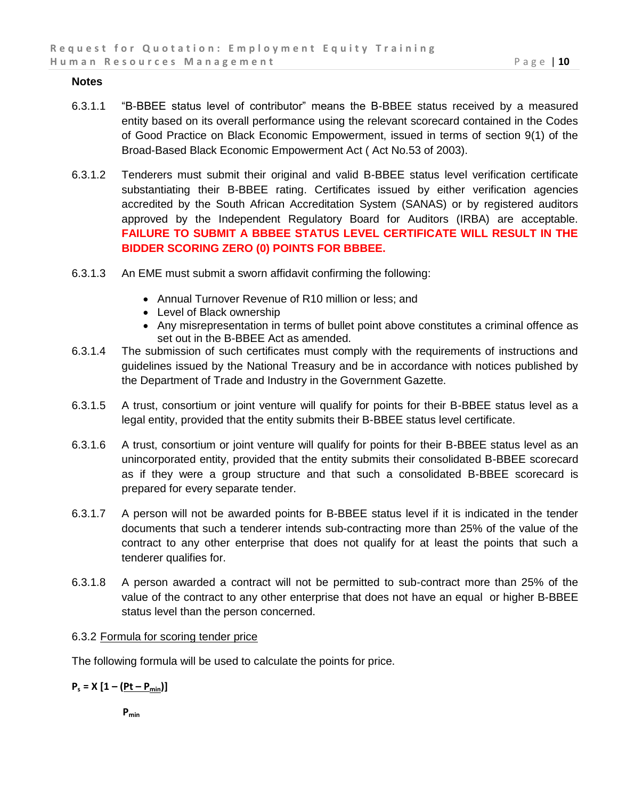#### **Notes**

- 6.3.1.1 "B-BBEE status level of contributor" means the B-BBEE status received by a measured entity based on its overall performance using the relevant scorecard contained in the Codes of Good Practice on Black Economic Empowerment, issued in terms of section 9(1) of the Broad-Based Black Economic Empowerment Act ( Act No.53 of 2003).
- 6.3.1.2 Tenderers must submit their original and valid B-BBEE status level verification certificate substantiating their B-BBEE rating. Certificates issued by either verification agencies accredited by the South African Accreditation System (SANAS) or by registered auditors approved by the Independent Regulatory Board for Auditors (IRBA) are acceptable. **FAILURE TO SUBMIT A BBBEE STATUS LEVEL CERTIFICATE WILL RESULT IN THE BIDDER SCORING ZERO (0) POINTS FOR BBBEE.**
- 6.3.1.3 An EME must submit a sworn affidavit confirming the following:
	- Annual Turnover Revenue of R10 million or less; and
	- Level of Black ownership
	- Any misrepresentation in terms of bullet point above constitutes a criminal offence as set out in the B-BBEE Act as amended.
- 6.3.1.4 The submission of such certificates must comply with the requirements of instructions and guidelines issued by the National Treasury and be in accordance with notices published by the Department of Trade and Industry in the Government Gazette.
- 6.3.1.5 A trust, consortium or joint venture will qualify for points for their B-BBEE status level as a legal entity, provided that the entity submits their B-BBEE status level certificate.
- 6.3.1.6 A trust, consortium or joint venture will qualify for points for their B-BBEE status level as an unincorporated entity, provided that the entity submits their consolidated B-BBEE scorecard as if they were a group structure and that such a consolidated B-BBEE scorecard is prepared for every separate tender.
- 6.3.1.7 A person will not be awarded points for B-BBEE status level if it is indicated in the tender documents that such a tenderer intends sub-contracting more than 25% of the value of the contract to any other enterprise that does not qualify for at least the points that such a tenderer qualifies for.
- 6.3.1.8 A person awarded a contract will not be permitted to sub-contract more than 25% of the value of the contract to any other enterprise that does not have an equal or higher B-BBEE status level than the person concerned.

## 6.3.2 Formula for scoring tender price

The following formula will be used to calculate the points for price.

 $P_s = X [1 - (Pt - P_{min})]$ 

**Pmin**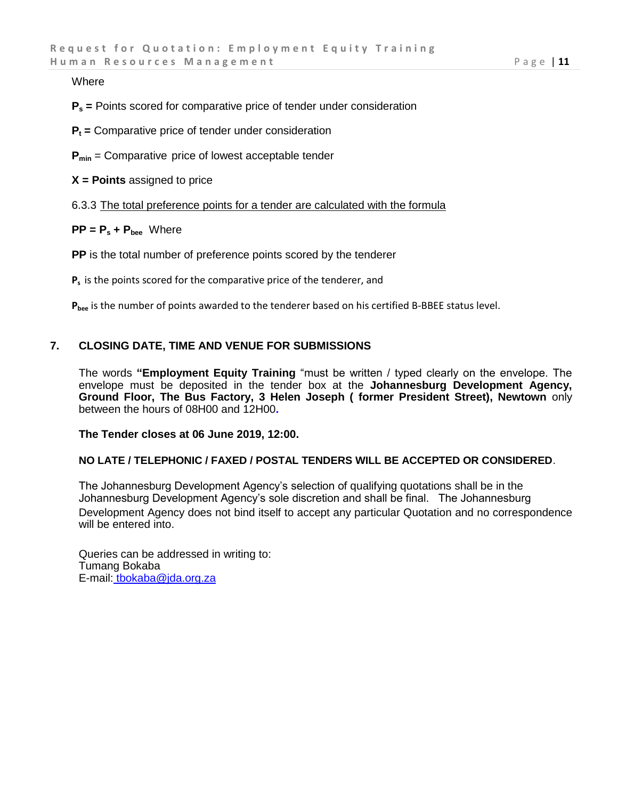#### **Where**

**P<sup>s</sup> =** Points scored for comparative price of tender under consideration

- **P<sup>t</sup> =** Comparative price of tender under consideration
- **Pmin** = Comparative price of lowest acceptable tender
- **X = Points** assigned to price

6.3.3 The total preference points for a tender are calculated with the formula

# $PP = P_s + P_{\text{bee}}$  Where

**PP** is the total number of preference points scored by the tenderer

**Ps** is the points scored for the comparative price of the tenderer, and

**Pbee** is the number of points awarded to the tenderer based on his certified B-BBEE status level.

# **7. CLOSING DATE, TIME AND VENUE FOR SUBMISSIONS**

The words **"Employment Equity Training** "must be written / typed clearly on the envelope. The envelope must be deposited in the tender box at the **Johannesburg Development Agency, Ground Floor, The Bus Factory, 3 Helen Joseph ( former President Street), Newtown** only between the hours of 08H00 and 12H00**.**

## **The Tender closes at 06 June 2019, 12:00.**

# **NO LATE / TELEPHONIC / FAXED / POSTAL TENDERS WILL BE ACCEPTED OR CONSIDERED**.

The Johannesburg Development Agency's selection of qualifying quotations shall be in the Johannesburg Development Agency's sole discretion and shall be final. The Johannesburg Development Agency does not bind itself to accept any particular Quotation and no correspondence will be entered into.

Queries can be addressed in writing to: Tumang Bokaba E-mail: [tbokaba@jda.org.za](mailto:%20tbokaba@jda.org.z)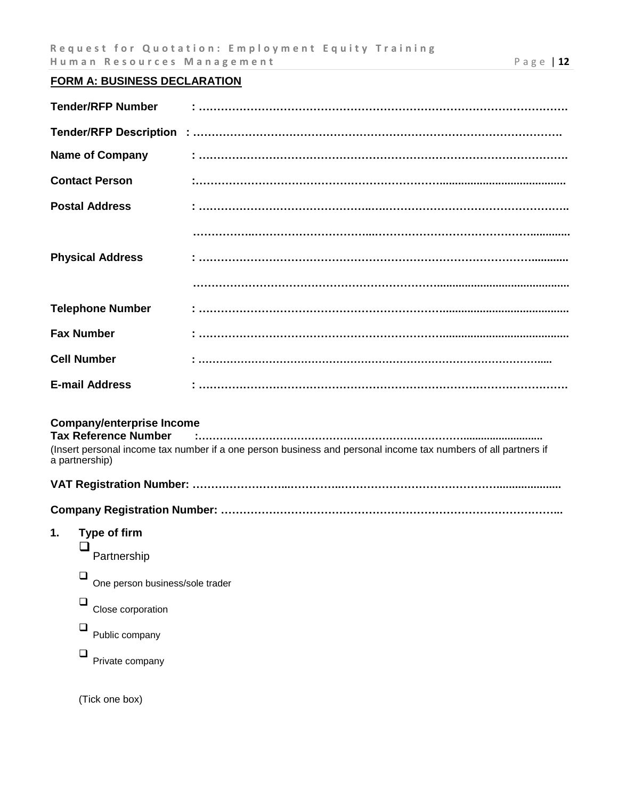# **FORM A: BUSINESS DECLARATION**

| <b>Tender/RFP Number</b>                                                          |                                                                                                                |
|-----------------------------------------------------------------------------------|----------------------------------------------------------------------------------------------------------------|
|                                                                                   |                                                                                                                |
| <b>Name of Company</b>                                                            |                                                                                                                |
| <b>Contact Person</b>                                                             |                                                                                                                |
| <b>Postal Address</b>                                                             |                                                                                                                |
|                                                                                   |                                                                                                                |
| <b>Physical Address</b>                                                           |                                                                                                                |
|                                                                                   |                                                                                                                |
| <b>Telephone Number</b>                                                           |                                                                                                                |
| <b>Fax Number</b>                                                                 |                                                                                                                |
| <b>Cell Number</b>                                                                |                                                                                                                |
| <b>E-mail Address</b>                                                             |                                                                                                                |
| <b>Company/enterprise Income</b><br><b>Tax Reference Number</b><br>a partnership) | (Insert personal income tax number if a one person business and personal income tax numbers of all partners if |
|                                                                                   |                                                                                                                |
|                                                                                   |                                                                                                                |
| Type of firm<br>1.                                                                |                                                                                                                |
| Partnership                                                                       |                                                                                                                |
| $\Box$<br>One person business/sole trader                                         |                                                                                                                |
| $\Box$<br>Close corporation                                                       |                                                                                                                |
| Public company                                                                    |                                                                                                                |
| Private company                                                                   |                                                                                                                |
|                                                                                   |                                                                                                                |

(Tick one box)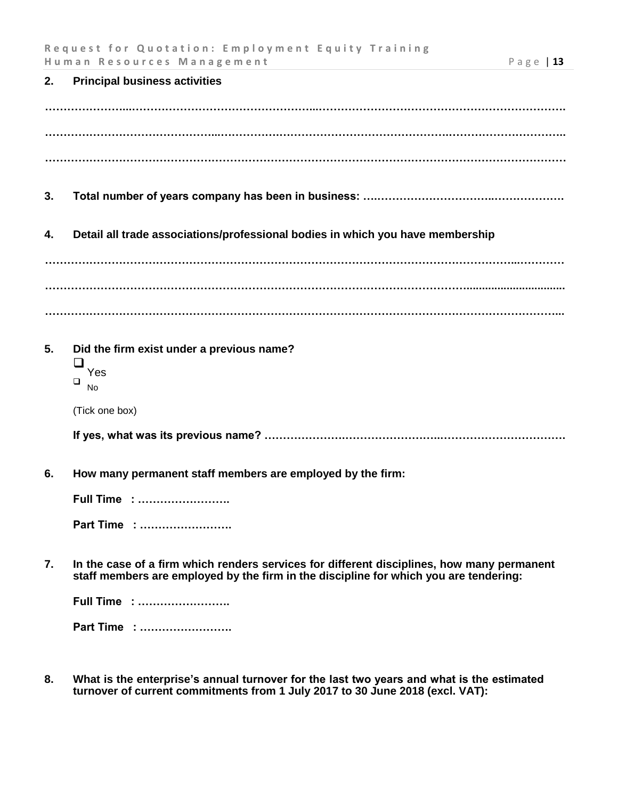|    | Request for Quotation: Employment Equity Training                                                                                                                                   |           |
|----|-------------------------------------------------------------------------------------------------------------------------------------------------------------------------------------|-----------|
|    | Human Resources Management                                                                                                                                                          | Page   13 |
| 2. | <b>Principal business activities</b>                                                                                                                                                |           |
|    |                                                                                                                                                                                     |           |
|    |                                                                                                                                                                                     |           |
|    |                                                                                                                                                                                     |           |
|    |                                                                                                                                                                                     |           |
|    |                                                                                                                                                                                     |           |
| 3. |                                                                                                                                                                                     |           |
|    |                                                                                                                                                                                     |           |
|    |                                                                                                                                                                                     |           |
| 4. | Detail all trade associations/professional bodies in which you have membership                                                                                                      |           |
|    |                                                                                                                                                                                     |           |
|    |                                                                                                                                                                                     |           |
|    |                                                                                                                                                                                     |           |
|    |                                                                                                                                                                                     |           |
|    |                                                                                                                                                                                     |           |
| 5. | Did the firm exist under a previous name?                                                                                                                                           |           |
|    | ⊔<br>Yes                                                                                                                                                                            |           |
|    | $\Box$<br><b>No</b>                                                                                                                                                                 |           |
|    | (Tick one box)                                                                                                                                                                      |           |
|    |                                                                                                                                                                                     |           |
|    |                                                                                                                                                                                     |           |
|    |                                                                                                                                                                                     |           |
| 6. | How many permanent staff members are employed by the firm:                                                                                                                          |           |
|    | Full Time :                                                                                                                                                                         |           |
|    | Part Time :                                                                                                                                                                         |           |
|    |                                                                                                                                                                                     |           |
|    |                                                                                                                                                                                     |           |
| 7. | In the case of a firm which renders services for different disciplines, how many permanent<br>staff members are employed by the firm in the discipline for which you are tendering: |           |
|    |                                                                                                                                                                                     |           |

| <b>Full Time</b> |  |  |  |  |  |  |  |  |  |  |  |  |  |
|------------------|--|--|--|--|--|--|--|--|--|--|--|--|--|
|                  |  |  |  |  |  |  |  |  |  |  |  |  |  |

**Part Time : …………………….**

**8. What is the enterprise's annual turnover for the last two years and what is the estimated turnover of current commitments from 1 July 2017 to 30 June 2018 (excl. VAT):**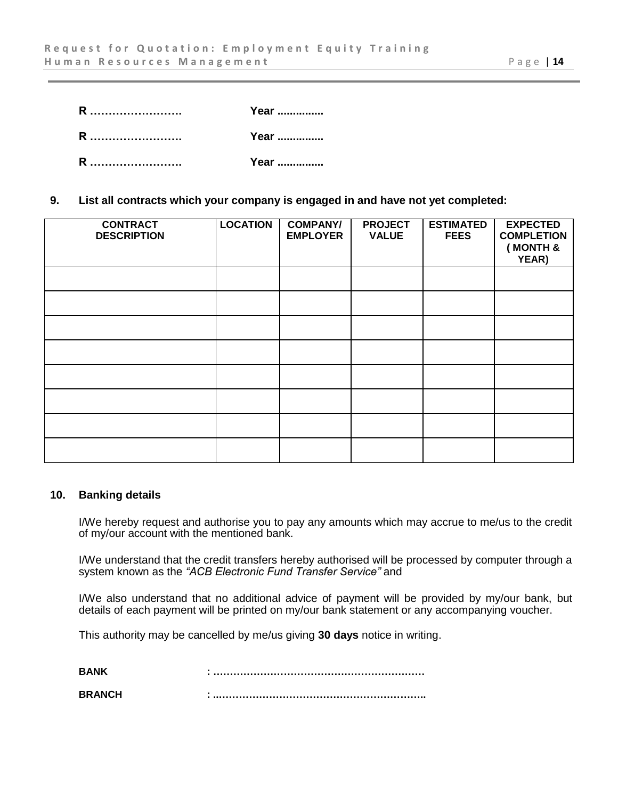| R | Year         |
|---|--------------|
| R | <b>Year </b> |
| R | Year         |

**9. List all contracts which your company is engaged in and have not yet completed:** 

| <b>CONTRACT</b><br><b>DESCRIPTION</b> | <b>LOCATION</b> | <b>COMPANY/</b><br><b>EMPLOYER</b> | <b>PROJECT</b><br><b>VALUE</b> | <b>ESTIMATED</b><br><b>FEES</b> | <b>EXPECTED</b><br><b>COMPLETION</b><br>(MONTH &<br>YEAR) |
|---------------------------------------|-----------------|------------------------------------|--------------------------------|---------------------------------|-----------------------------------------------------------|
|                                       |                 |                                    |                                |                                 |                                                           |
|                                       |                 |                                    |                                |                                 |                                                           |
|                                       |                 |                                    |                                |                                 |                                                           |
|                                       |                 |                                    |                                |                                 |                                                           |
|                                       |                 |                                    |                                |                                 |                                                           |
|                                       |                 |                                    |                                |                                 |                                                           |
|                                       |                 |                                    |                                |                                 |                                                           |
|                                       |                 |                                    |                                |                                 |                                                           |

### **10. Banking details**

I/We hereby request and authorise you to pay any amounts which may accrue to me/us to the credit of my/our account with the mentioned bank.

I/We understand that the credit transfers hereby authorised will be processed by computer through a system known as the *"ACB Electronic Fund Transfer Service"* and

I/We also understand that no additional advice of payment will be provided by my/our bank, but details of each payment will be printed on my/our bank statement or any accompanying voucher.

This authority may be cancelled by me/us giving **30 days** notice in writing.

**BANK : ………………………………………………………**

**BRANCH : ..……………………………………………………..**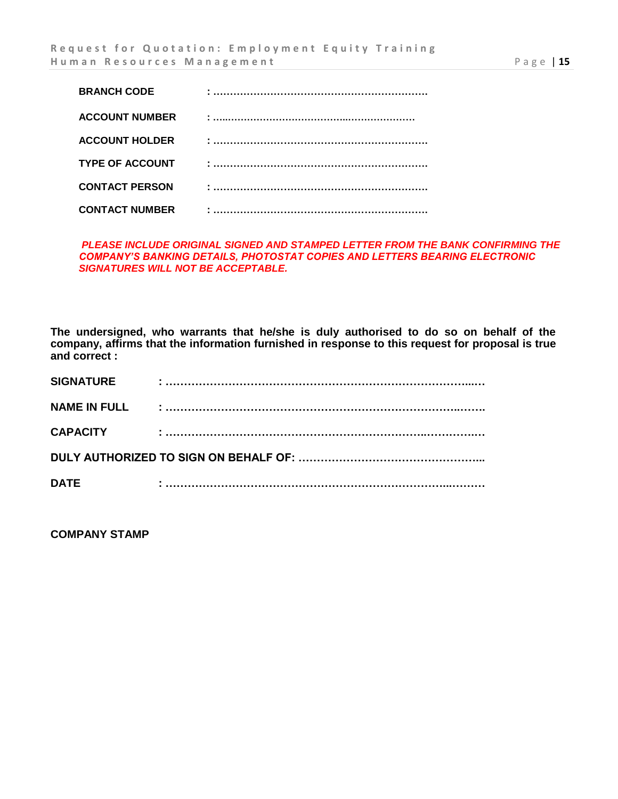| <b>BRANCH CODE</b>     |  |
|------------------------|--|
| <b>ACCOUNT NUMBER</b>  |  |
| <b>ACCOUNT HOLDER</b>  |  |
| <b>TYPE OF ACCOUNT</b> |  |
| <b>CONTACT PERSON</b>  |  |
| <b>CONTACT NUMBER</b>  |  |

#### *PLEASE INCLUDE ORIGINAL SIGNED AND STAMPED LETTER FROM THE BANK CONFIRMING THE COMPANY'S BANKING DETAILS, PHOTOSTAT COPIES AND LETTERS BEARING ELECTRONIC SIGNATURES WILL NOT BE ACCEPTABLE.*

**The undersigned, who warrants that he/she is duly authorised to do so on behalf of the company, affirms that the information furnished in response to this request for proposal is true and correct :**

| <b>SIGNATURE</b> |  |
|------------------|--|
|                  |  |
| <b>CAPACITY</b>  |  |
|                  |  |
| <b>DATE</b>      |  |

**COMPANY STAMP**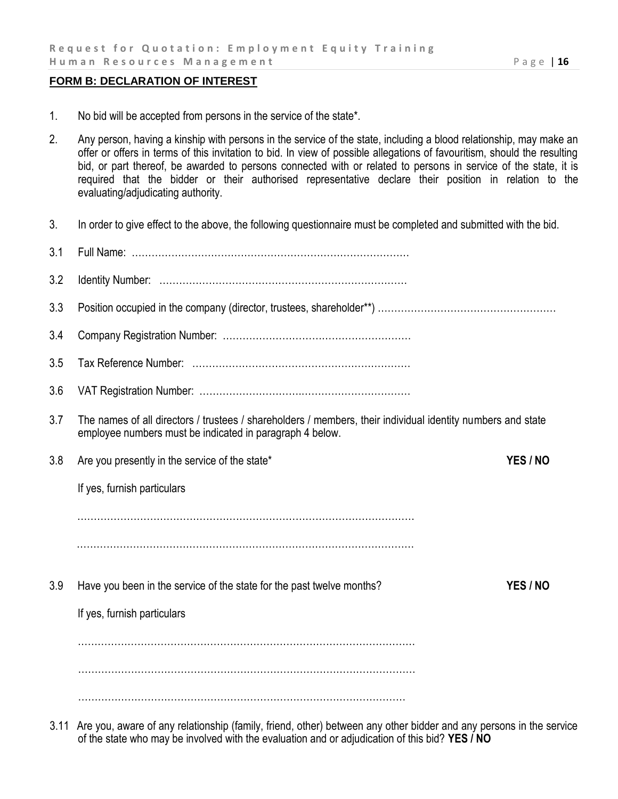### **FORM B: DECLARATION OF INTEREST**

- 1. No bid will be accepted from persons in the service of the state\*.
- 2. Any person, having a kinship with persons in the service of the state, including a blood relationship, may make an offer or offers in terms of this invitation to bid. In view of possible allegations of favouritism, should the resulting bid, or part thereof, be awarded to persons connected with or related to persons in service of the state, it is required that the bidder or their authorised representative declare their position in relation to the evaluating/adjudicating authority.
- 3. In order to give effect to the above, the following questionnaire must be completed and submitted with the bid.
- 3.1 Full Name: ………………………………………………………………………… 3.2 Identity Number: ………………………………………………………………… 3.3 Position occupied in the company (director, trustees, shareholder\*\*) ……………………………………………………………………… 3.4 Company Registration Number: ………………………………………………… 3.5 Tax Reference Number: ………………………………………………………… 3.6 VAT Registration Number: ………………………….…………………………… 3.7 The names of all directors / trustees / shareholders / members, their individual identity numbers and state employee numbers must be indicated in paragraph 4 below. 3.8 Are you presently in the service of the state\* **YES / NO** If yes, furnish particulars . The same set of the same set of the same set of the same set of the same set of the same set of the same set of the same set of the same set of the same set of the same set of the same set of the same set of the same se 3.9 Have you been in the service of the state for the past twelve months? **YES / NO** If yes, furnish particulars ………………………………………………………………………………………
- 3.11 Are you, aware of any relationship (family, friend, other) between any other bidder and any persons in the service of the state who may be involved with the evaluation and or adjudication of this bid? **YES / NO**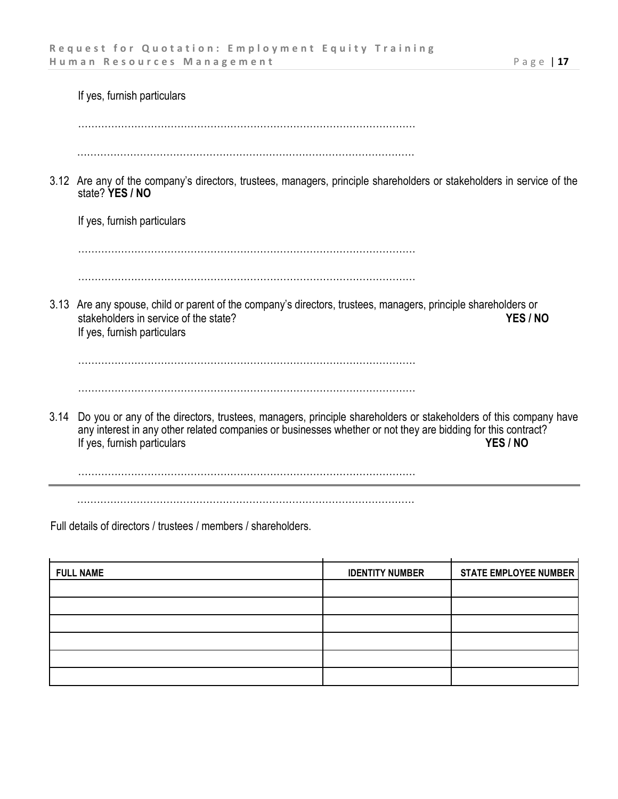If yes, furnish particulars ………………………………………………………………………………………… ………………………………………………………………………………………… 3.12 Are any of the company's directors, trustees, managers, principle shareholders or stakeholders in service of the state? **YES / NO** If yes, furnish particulars ………………………………………………………………………………………… ………………………………………………………………………………………… 3.13 Are any spouse, child or parent of the company's directors, trustees, managers, principle shareholders or stakeholders in service of the state? **YES / NO** If yes, furnish particulars ………………………………………………………………………………………… ………………………………………………………………………………………… 3.14 Do you or any of the directors, trustees, managers, principle shareholders or stakeholders of this company have any interest in any other related companies or businesses whether or not they are bidding for this contract?<br>If ves. furnish particulars **YES / NO** If yes, furnish particulars …………………………………………………………………………………………

…………………………………………………………………………………………

Full details of directors / trustees / members / shareholders.

| <b>FULL NAME</b> | <b>IDENTITY NUMBER</b> | <b>STATE EMPLOYEE NUMBER</b> |
|------------------|------------------------|------------------------------|
|                  |                        |                              |
|                  |                        |                              |
|                  |                        |                              |
|                  |                        |                              |
|                  |                        |                              |
|                  |                        |                              |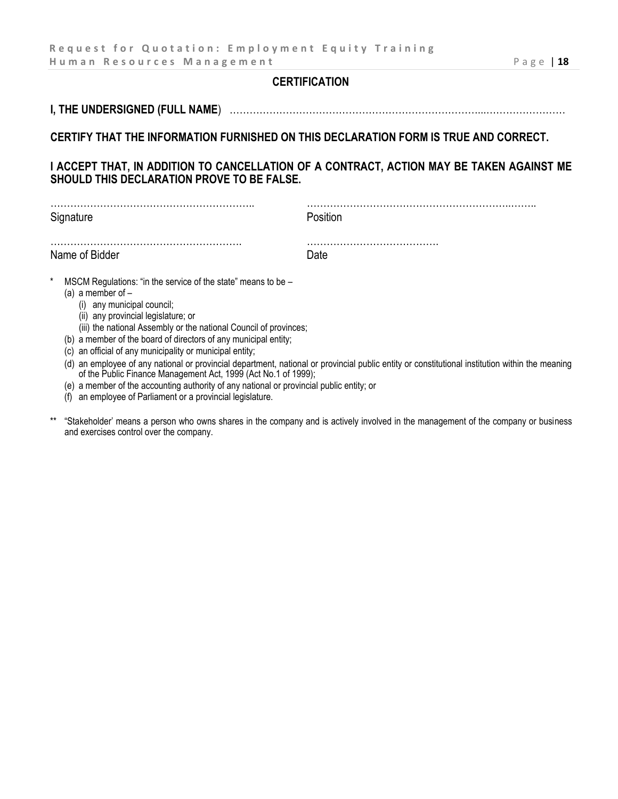# **CERTIFICATION**

# **I, THE UNDERSIGNED (FULL NAME**) …………………………………………………………………...……………………

# **CERTIFY THAT THE INFORMATION FURNISHED ON THIS DECLARATION FORM IS TRUE AND CORRECT.**

# **I ACCEPT THAT, IN ADDITION TO CANCELLATION OF A CONTRACT, ACTION MAY BE TAKEN AGAINST ME SHOULD THIS DECLARATION PROVE TO BE FALSE.**

…………………………………………………….. ……………………………………………………..…….. Signature **Position** …………………………………………………. …………………………………. Name of Bidder **Date** 

- MSCM Regulations: "in the service of the state" means to be  $-$ 
	- (a) a member of
		- (i) any municipal council;
		- (ii) any provincial legislature; or
	- (iii) the national Assembly or the national Council of provinces;
	- (b) a member of the board of directors of any municipal entity;
	- (c) an official of any municipality or municipal entity;
	- (d) an employee of any national or provincial department, national or provincial public entity or constitutional institution within the meaning of the Public Finance Management Act, 1999 (Act No.1 of 1999);
	- (e) a member of the accounting authority of any national or provincial public entity; or
	- (f) an employee of Parliament or a provincial legislature.
- \*\* "Stakeholder' means a person who owns shares in the company and is actively involved in the management of the company or business and exercises control over the company.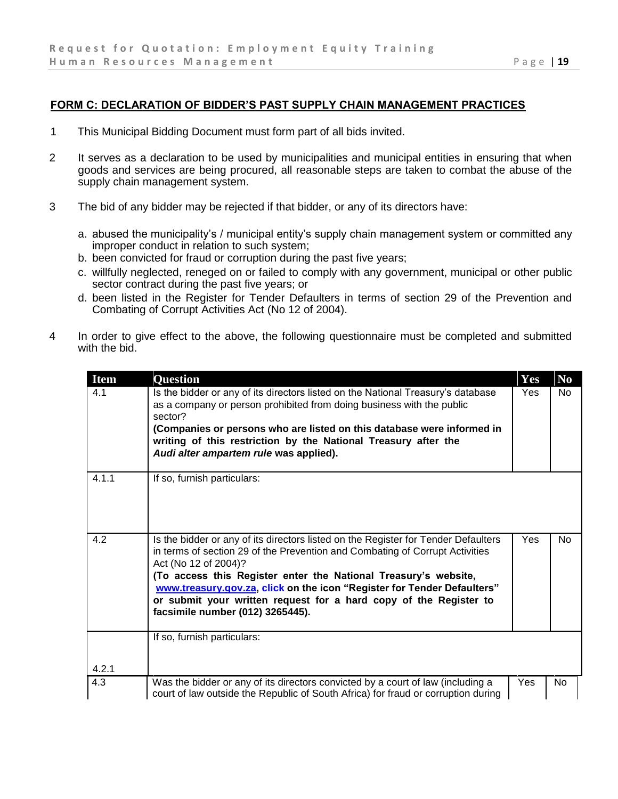# **FORM C: DECLARATION OF BIDDER'S PAST SUPPLY CHAIN MANAGEMENT PRACTICES**

- 1 This Municipal Bidding Document must form part of all bids invited.
- 2 It serves as a declaration to be used by municipalities and municipal entities in ensuring that when goods and services are being procured, all reasonable steps are taken to combat the abuse of the supply chain management system.
- 3 The bid of any bidder may be rejected if that bidder, or any of its directors have:
	- a. abused the municipality's / municipal entity's supply chain management system or committed any improper conduct in relation to such system;
	- b. been convicted for fraud or corruption during the past five years;
	- c. willfully neglected, reneged on or failed to comply with any government, municipal or other public sector contract during the past five years; or
	- d. been listed in the Register for Tender Defaulters in terms of section 29 of the Prevention and Combating of Corrupt Activities Act (No 12 of 2004).
- 4 In order to give effect to the above, the following questionnaire must be completed and submitted with the bid.

| <b>Item</b> | <b>Question</b>                                                                                                                                                                                                                                                                                                                                                                                                                                   | Yes        | N <sub>o</sub> |
|-------------|---------------------------------------------------------------------------------------------------------------------------------------------------------------------------------------------------------------------------------------------------------------------------------------------------------------------------------------------------------------------------------------------------------------------------------------------------|------------|----------------|
| 4.1         | Is the bidder or any of its directors listed on the National Treasury's database<br>as a company or person prohibited from doing business with the public<br>sector?<br>(Companies or persons who are listed on this database were informed in<br>writing of this restriction by the National Treasury after the<br>Audi alter ampartem rule was applied).                                                                                        | <b>Yes</b> | No.            |
| 4.1.1       | If so, furnish particulars:                                                                                                                                                                                                                                                                                                                                                                                                                       |            |                |
| 4.2         | Is the bidder or any of its directors listed on the Register for Tender Defaulters<br>in terms of section 29 of the Prevention and Combating of Corrupt Activities<br>Act (No 12 of 2004)?<br>(To access this Register enter the National Treasury's website,<br>www.treasury.gov.za, click on the icon "Register for Tender Defaulters"<br>or submit your written request for a hard copy of the Register to<br>facsimile number (012) 3265445). | Yes.       | N <sub>o</sub> |
| 4.2.1       | If so, furnish particulars:                                                                                                                                                                                                                                                                                                                                                                                                                       |            |                |
| 4.3         | Was the bidder or any of its directors convicted by a court of law (including a<br>court of law outside the Republic of South Africa) for fraud or corruption during                                                                                                                                                                                                                                                                              | Yes        | No             |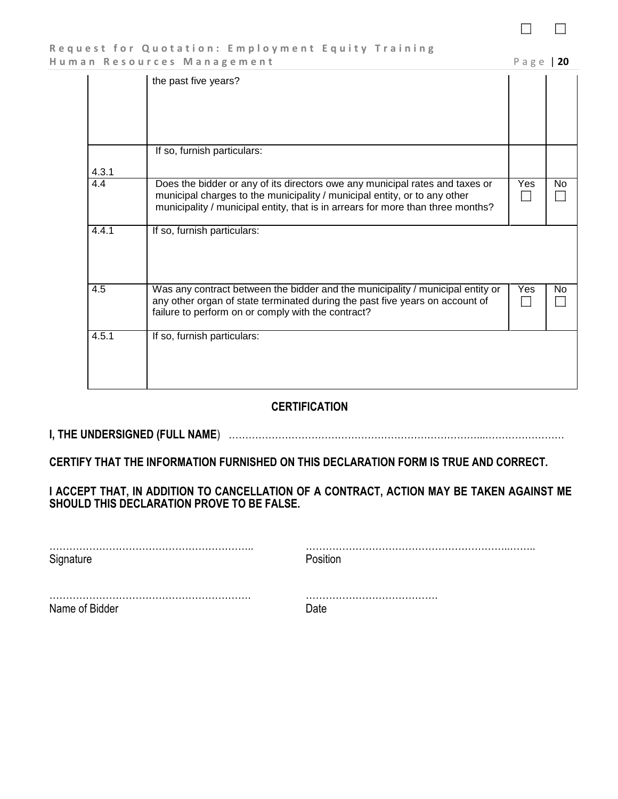32 33

# **Request for Quotation: Employment Equity Training H u m a n R e s o u r c e s M a n a g e m e n t** P a g e | **20**

|       | the past five years?                                                                                                                                                                                                                         |     |    |
|-------|----------------------------------------------------------------------------------------------------------------------------------------------------------------------------------------------------------------------------------------------|-----|----|
|       | If so, furnish particulars:                                                                                                                                                                                                                  |     |    |
| 4.3.1 |                                                                                                                                                                                                                                              |     |    |
| 4.4   | Does the bidder or any of its directors owe any municipal rates and taxes or<br>municipal charges to the municipality / municipal entity, or to any other<br>municipality / municipal entity, that is in arrears for more than three months? | Yes | No |
| 4.4.1 | If so, furnish particulars:                                                                                                                                                                                                                  |     |    |
| 4.5   | Was any contract between the bidder and the municipality / municipal entity or<br>any other organ of state terminated during the past five years on account of<br>failure to perform on or comply with the contract?                         | Yes | No |
| 4.5.1 | If so, furnish particulars:                                                                                                                                                                                                                  |     |    |

# **CERTIFICATION**

# **I, THE UNDERSIGNED (FULL NAME**) …………………………………………………………………...……………………

# **CERTIFY THAT THE INFORMATION FURNISHED ON THIS DECLARATION FORM IS TRUE AND CORRECT.**

# **I ACCEPT THAT, IN ADDITION TO CANCELLATION OF A CONTRACT, ACTION MAY BE TAKEN AGAINST ME SHOULD THIS DECLARATION PROVE TO BE FALSE.**

Signature **Position** 

…………………………………………………….. ……………………………………………………..……..

……………………………………………………. …………………………………. Name of Bidder **Date**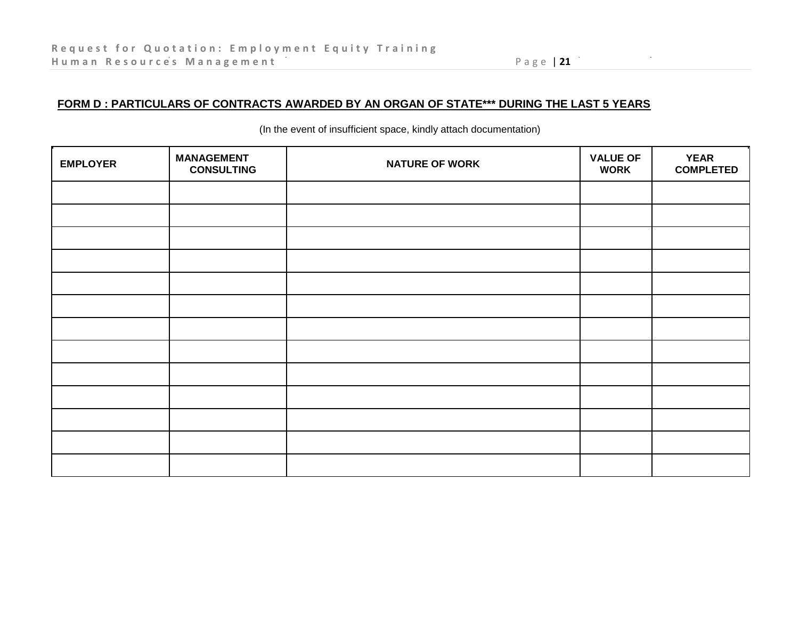# **FORM D : PARTICULARS OF CONTRACTS AWARDED BY AN ORGAN OF STATE\*\*\* DURING THE LAST 5 YEARS**

| <b>EMPLOYER</b> | <b>MANAGEMENT</b><br><b>CONSULTING</b> | <b>NATURE OF WORK</b> | <b>VALUE OF</b><br><b>WORK</b> | <b>YEAR</b><br><b>COMPLETED</b> |
|-----------------|----------------------------------------|-----------------------|--------------------------------|---------------------------------|
|                 |                                        |                       |                                |                                 |
|                 |                                        |                       |                                |                                 |
|                 |                                        |                       |                                |                                 |
|                 |                                        |                       |                                |                                 |
|                 |                                        |                       |                                |                                 |
|                 |                                        |                       |                                |                                 |
|                 |                                        |                       |                                |                                 |
|                 |                                        |                       |                                |                                 |
|                 |                                        |                       |                                |                                 |
|                 |                                        |                       |                                |                                 |
|                 |                                        |                       |                                |                                 |
|                 |                                        |                       |                                |                                 |
|                 |                                        |                       |                                |                                 |

(In the event of insufficient space, kindly attach documentation)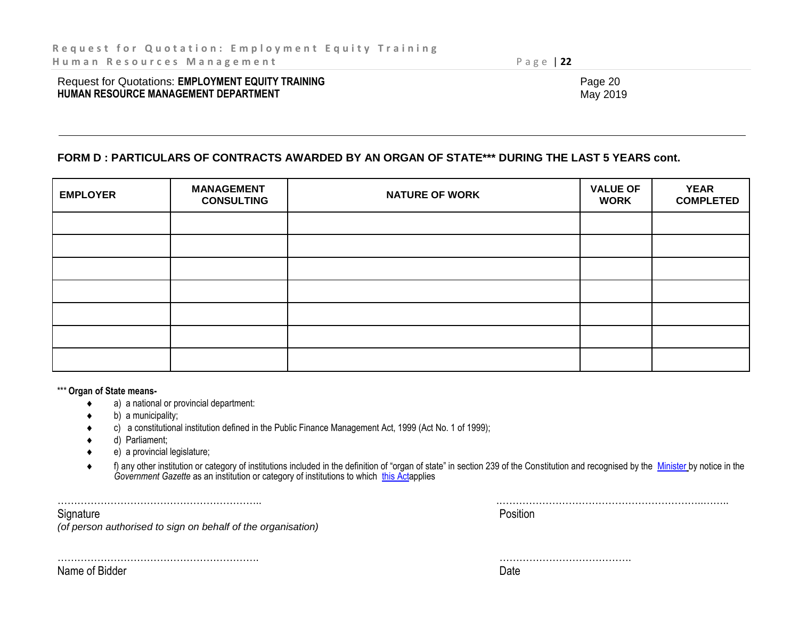**Human Resources Management** 

Request for Quotations: **EMPLOYMENT EQUITY TRAINING HUMAN RESOURCE MANAGEMENT DEPARTMENT**

|  | 2 |
|--|---|
|--|---|

Page 20 May 2019

## **FORM D : PARTICULARS OF CONTRACTS AWARDED BY AN ORGAN OF STATE\*\*\* DURING THE LAST 5 YEARS cont.**

| <b>EMPLOYER</b> | <b>MANAGEMENT</b><br><b>CONSULTING</b> | <b>NATURE OF WORK</b> | <b>VALUE OF</b><br><b>WORK</b> | <b>YEAR</b><br><b>COMPLETED</b> |
|-----------------|----------------------------------------|-----------------------|--------------------------------|---------------------------------|
|                 |                                        |                       |                                |                                 |
|                 |                                        |                       |                                |                                 |
|                 |                                        |                       |                                |                                 |
|                 |                                        |                       |                                |                                 |
|                 |                                        |                       |                                |                                 |
|                 |                                        |                       |                                |                                 |
|                 |                                        |                       |                                |                                 |

\*\*\* **Organ of State means-**

- a) a national or provincial department:
- $\bullet$  b) a municipality;
- c) a constitutional institution defined in the Public Finance Management Act, 1999 (Act No. 1 of 1999);
- d) Parliament;
- e) a provincial legislature;
- ◆ f) any other institution or category of institutions included in the definition of "organ of state" in section 239 of the Constitution and recognised by the [Minister](javascript:void(0);) by notice in the Government Gazette as an institution or category of institutions to which [this Acta](javascript:void(0);)pplies

Signature Position is a state of the contract of the contract of the contract of the contract of the contract of the contract of the contract of the contract of the contract of the contract of the contract of the contract

…………………………………………………….. .……………………………………………………..……..

*(of person authorised to sign on behalf of the organisation)*

……………………………………………………. …………………………………. Name of Bidder **Date of Bidder** Controller Controller Controller Controller Controller Controller Controller Controller Controller Controller Controller Controller Controller Controller Controller Controller Controller Con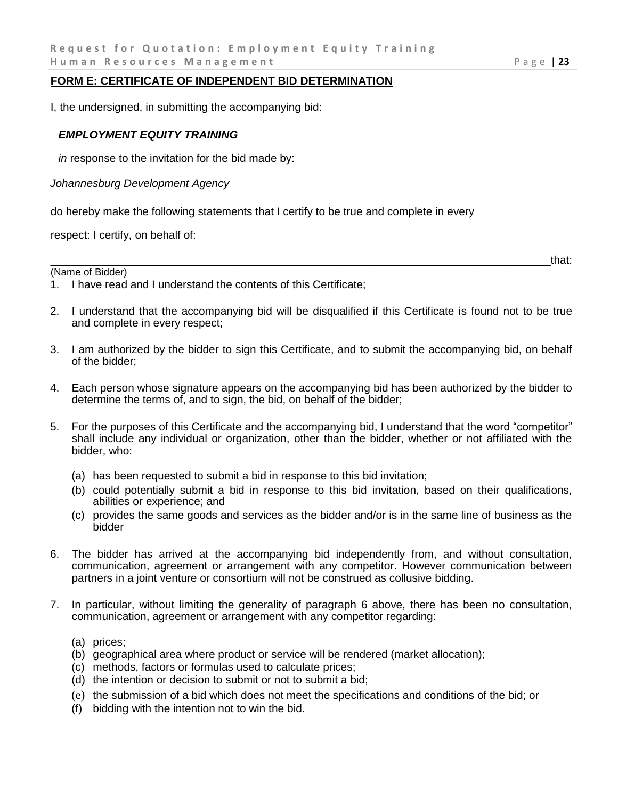### **FORM E: CERTIFICATE OF INDEPENDENT BID DETERMINATION**

I, the undersigned, in submitting the accompanying bid:

## *EMPLOYMENT EQUITY TRAINING*

*in* response to the invitation for the bid made by:

#### *Johannesburg Development Agency*

do hereby make the following statements that I certify to be true and complete in every

respect: I certify, on behalf of:

(Name of Bidder)

\_\_\_\_\_\_\_\_\_\_\_\_\_\_\_\_\_\_\_\_\_\_\_\_\_\_\_\_\_\_\_\_\_\_\_\_\_\_\_\_\_\_\_\_\_\_\_\_\_\_\_\_\_\_\_\_\_\_\_\_\_\_\_\_\_\_\_\_\_\_\_\_\_\_\_\_\_\_\_\_\_that:

- 1. I have read and I understand the contents of this Certificate;
- 2. I understand that the accompanying bid will be disqualified if this Certificate is found not to be true and complete in every respect;
- 3. I am authorized by the bidder to sign this Certificate, and to submit the accompanying bid, on behalf of the bidder;
- 4. Each person whose signature appears on the accompanying bid has been authorized by the bidder to determine the terms of, and to sign, the bid, on behalf of the bidder;
- 5. For the purposes of this Certificate and the accompanying bid, I understand that the word "competitor" shall include any individual or organization, other than the bidder, whether or not affiliated with the bidder, who:
	- (a) has been requested to submit a bid in response to this bid invitation;
	- (b) could potentially submit a bid in response to this bid invitation, based on their qualifications, abilities or experience; and
	- (c) provides the same goods and services as the bidder and/or is in the same line of business as the bidder
- 6. The bidder has arrived at the accompanying bid independently from, and without consultation, communication, agreement or arrangement with any competitor. However communication between partners in a joint venture or consortium will not be construed as collusive bidding.
- 7. In particular, without limiting the generality of paragraph 6 above, there has been no consultation, communication, agreement or arrangement with any competitor regarding:
	- (a) prices;
	- (b) geographical area where product or service will be rendered (market allocation);
	- (c) methods, factors or formulas used to calculate prices;
	- (d) the intention or decision to submit or not to submit a bid;
	- (e) the submission of a bid which does not meet the specifications and conditions of the bid; or
	- (f) bidding with the intention not to win the bid.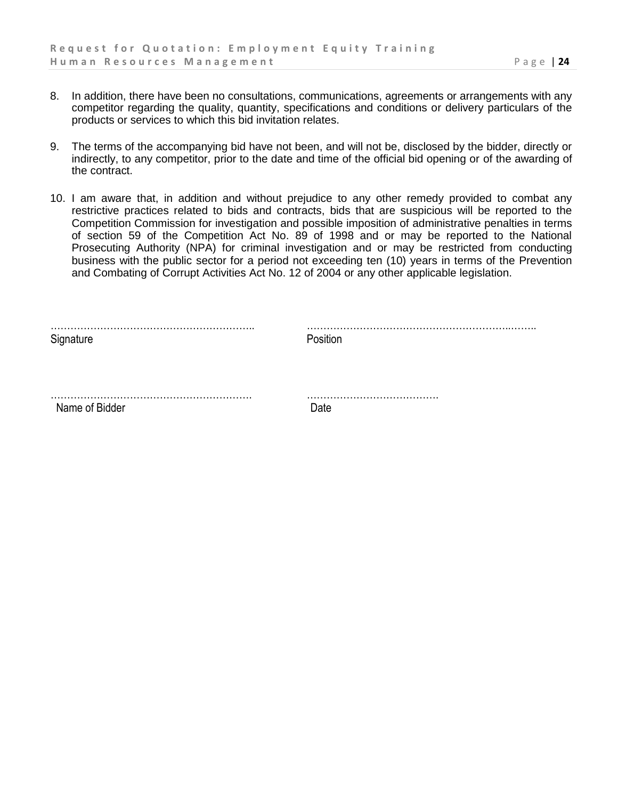- 8. In addition, there have been no consultations, communications, agreements or arrangements with any competitor regarding the quality, quantity, specifications and conditions or delivery particulars of the products or services to which this bid invitation relates.
- 9. The terms of the accompanying bid have not been, and will not be, disclosed by the bidder, directly or indirectly, to any competitor, prior to the date and time of the official bid opening or of the awarding of the contract.
- 10. I am aware that, in addition and without prejudice to any other remedy provided to combat any restrictive practices related to bids and contracts, bids that are suspicious will be reported to the Competition Commission for investigation and possible imposition of administrative penalties in terms of section 59 of the Competition Act No. 89 of 1998 and or may be reported to the National Prosecuting Authority (NPA) for criminal investigation and or may be restricted from conducting business with the public sector for a period not exceeding ten (10) years in terms of the Prevention and Combating of Corrupt Activities Act No. 12 of 2004 or any other applicable legislation.

| Signature      | Position |
|----------------|----------|
|                |          |
| Name of Bidder | Date     |